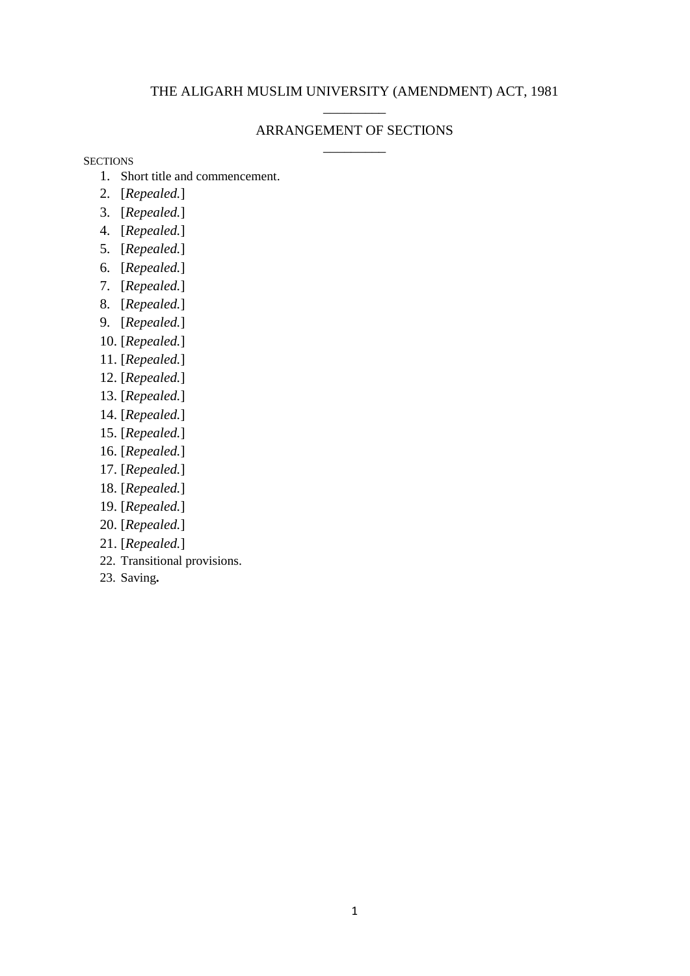## THE ALIGARH MUSLIM UNIVERSITY (AMENDMENT) ACT, 1981 \_\_\_\_\_\_\_\_\_

## ARRANGEMENT OF SECTIONS \_\_\_\_\_\_\_\_\_

**SECTIONS** 

- 1. Short title and commencement.
- 2. [*Repealed.*]
- 3. [*Repealed.*]
- 4. [*Repealed.*]
- 5. [*Repealed.*]
- 6. [*Repealed.*]
- 7. [*Repealed.*]
- 8. [*Repealed.*]
- 9. [*Repealed.*]
- 10. [*Repealed.*]
- 11. [*Repealed.*]
- 12. [*Repealed.*]
- 13. [*Repealed.*]
- 14. [*Repealed.*]
- 15. [*Repealed.*]
- 16. [*Repealed.*]
- 17. [*Repealed.*]
- 18. [*Repealed.*]
- 19. [*Repealed.*]
- 20. [*Repealed.*]
- 21. [*Repealed.*]
- 22. Transitional provisions.
- 23. Saving**.**